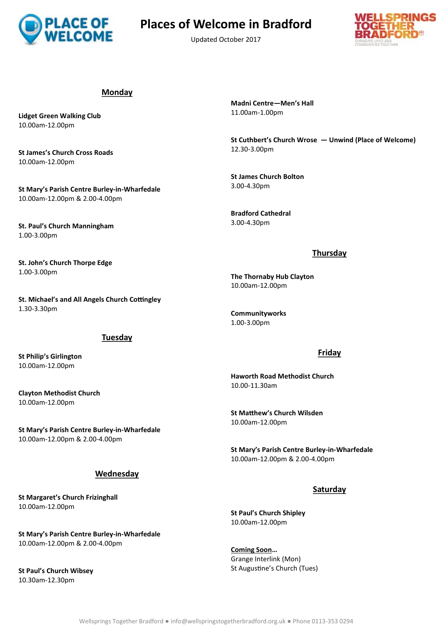

# **ACE OF** Places of Welcome in Bradford

Updated October 2017



#### **Monday**

**Lidget Green Walking Club** 10.00am-12.00pm

**St James's Church Cross Roads** 10.00am-12.00pm

**St Mary's Parish Centre Burley-in-Wharfedale** 10.00am-12.00pm & 2.00-4.00pm

**St. Paul's Church Manningham** 1.00-3.00pm

**St. John's Church Thorpe Edge** 1.00-3.00pm

**St. Michael's and All Angels Church Cottingley** 1.30-3.30pm

#### **Tuesday**

**St Philip's Girlington** 10.00am-12.00pm

**Clayton Methodist Church** 10.00am-12.00pm

**St Mary's Parish Centre Burley-in-Wharfedale** 10.00am-12.00pm & 2.00-4.00pm

#### **Wednesday**

**St Margaret's Church Frizinghall** 10.00am-12.00pm

**St Mary's Parish Centre Burley-in-Wharfedale** 10.00am-12.00pm & 2.00-4.00pm

**St Paul's Church Wibsey** 10.30am-12.30pm

**Madni Centre—Men's Hall** 11.00am-1.00pm

**St Cuthbert's Church Wrose — Unwind (Place of Welcome)** 12.30-3.00pm

**St James Church Bolton** 3.00-4.30pm

**Bradford Cathedral** 3.00-4.30pm

#### **Thursday**

**The Thornaby Hub Clayton** 10.00am-12.00pm

**Communityworks** 1.00-3.00pm

#### **Friday**

**Haworth Road Methodist Church** 10.00-11.30am

**St Matthew's Church Wilsden** 10.00am-12.00pm

**St Mary's Parish Centre Burley-in-Wharfedale** 10.00am-12.00pm & 2.00-4.00pm

#### **Saturday**

**St Paul's Church Shipley** 10.00am-12.00pm

**Coming Soon…**  Grange Interlink (Mon) St Augustine's Church (Tues)